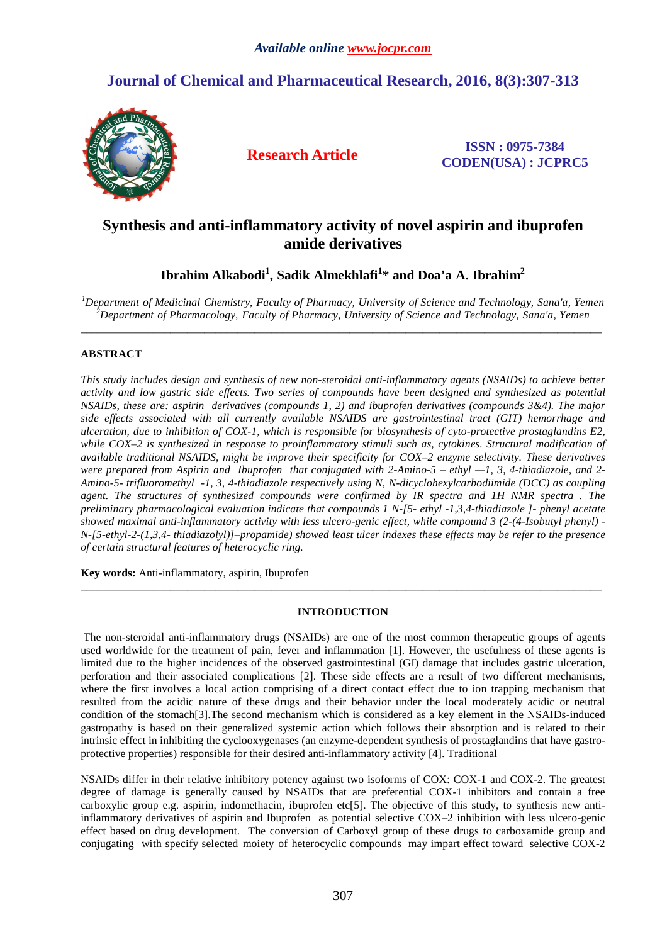# **Journal of Chemical and Pharmaceutical Research, 2016, 8(3):307-313**



**Research Article ISSN : 0975-7384 CODEN(USA) : JCPRC5**

# **Synthesis and anti-inflammatory activity of novel aspirin and ibuprofen amide derivatives**

**Ibrahim Alkabodi<sup>1</sup> , Sadik Almekhlafi<sup>1</sup> \* and Doa'a A. Ibrahim<sup>2</sup>**

*<sup>1</sup>Department of Medicinal Chemistry, Faculty of Pharmacy, University of Science and Technology, Sana'a, Yemen <sup>2</sup>Department of Pharmacology, Faculty of Pharmacy, University of Science and Technology, Sana'a, Yemen* \_\_\_\_\_\_\_\_\_\_\_\_\_\_\_\_\_\_\_\_\_\_\_\_\_\_\_\_\_\_\_\_\_\_\_\_\_\_\_\_\_\_\_\_\_\_\_\_\_\_\_\_\_\_\_\_\_\_\_\_\_\_\_\_\_\_\_\_\_\_\_\_\_\_\_\_\_\_\_\_\_\_\_\_\_\_\_\_\_\_\_\_\_

# **ABSTRACT**

*This study includes design and synthesis of new non-steroidal anti-inflammatory agents (NSAIDs) to achieve better activity and low gastric side effects. Two series of compounds have been designed and synthesized as potential NSAIDs, these are: aspirin derivatives (compounds 1, 2) and ibuprofen derivatives (compounds 3&4). The major side effects associated with all currently available NSAIDS are gastrointestinal tract (GIT) hemorrhage and ulceration, due to inhibition of COX-1, which is responsible for biosynthesis of cyto-protective prostaglandins E2,*  while COX–2 is synthesized in response to proinflammatory stimuli such as, cytokines. Structural modification of *available traditional NSAIDS, might be improve their specificity for COX–2 enzyme selectivity. These derivatives were prepared from Aspirin and Ibuprofen that conjugated with 2-Amino-5 – ethyl —1, 3, 4-thiadiazole, and 2- Amino-5- trifluoromethyl -1, 3, 4-thiadiazole respectively using N, N-dicyclohexylcarbodiimide (DCC) as coupling agent. The structures of synthesized compounds were confirmed by IR spectra and 1H NMR spectra . The preliminary pharmacological evaluation indicate that compounds 1 N-[5- ethyl -1,3,4-thiadiazole ]- phenyl acetate showed maximal anti-inflammatory activity with less ulcero-genic effect, while compound 3 (2-(4-Isobutyl phenyl) - N-[5-ethyl-2-(1,3,4- thiadiazolyl)]–propamide) showed least ulcer indexes these effects may be refer to the presence of certain structural features of heterocyclic ring.* 

**Key words:** Anti-inflammatory, aspirin, Ibuprofen

# **INTRODUCTION**

\_\_\_\_\_\_\_\_\_\_\_\_\_\_\_\_\_\_\_\_\_\_\_\_\_\_\_\_\_\_\_\_\_\_\_\_\_\_\_\_\_\_\_\_\_\_\_\_\_\_\_\_\_\_\_\_\_\_\_\_\_\_\_\_\_\_\_\_\_\_\_\_\_\_\_\_\_\_\_\_\_\_\_\_\_\_\_\_\_\_\_\_\_

 The non-steroidal anti-inflammatory drugs (NSAIDs) are one of the most common therapeutic groups of agents used worldwide for the treatment of pain, fever and inflammation [1]. However, the usefulness of these agents is limited due to the higher incidences of the observed gastrointestinal (GI) damage that includes gastric ulceration, perforation and their associated complications [2]. These side effects are a result of two different mechanisms, where the first involves a local action comprising of a direct contact effect due to ion trapping mechanism that resulted from the acidic nature of these drugs and their behavior under the local moderately acidic or neutral condition of the stomach[3].The second mechanism which is considered as a key element in the NSAIDs-induced gastropathy is based on their generalized systemic action which follows their absorption and is related to their intrinsic effect in inhibiting the cyclooxygenases (an enzyme-dependent synthesis of prostaglandins that have gastroprotective properties) responsible for their desired anti-inflammatory activity [4]. Traditional

NSAIDs differ in their relative inhibitory potency against two isoforms of COX: COX-1 and COX-2. The greatest degree of damage is generally caused by NSAIDs that are preferential COX-1 inhibitors and contain a free carboxylic group e.g. aspirin, indomethacin, ibuprofen etc[5]. The objective of this study, to synthesis new antiinflammatory derivatives of aspirin and Ibuprofen as potential selective COX–2 inhibition with less ulcero-genic effect based on drug development. The conversion of Carboxyl group of these drugs to carboxamide group and conjugating with specify selected moiety of heterocyclic compounds may impart effect toward selective COX-2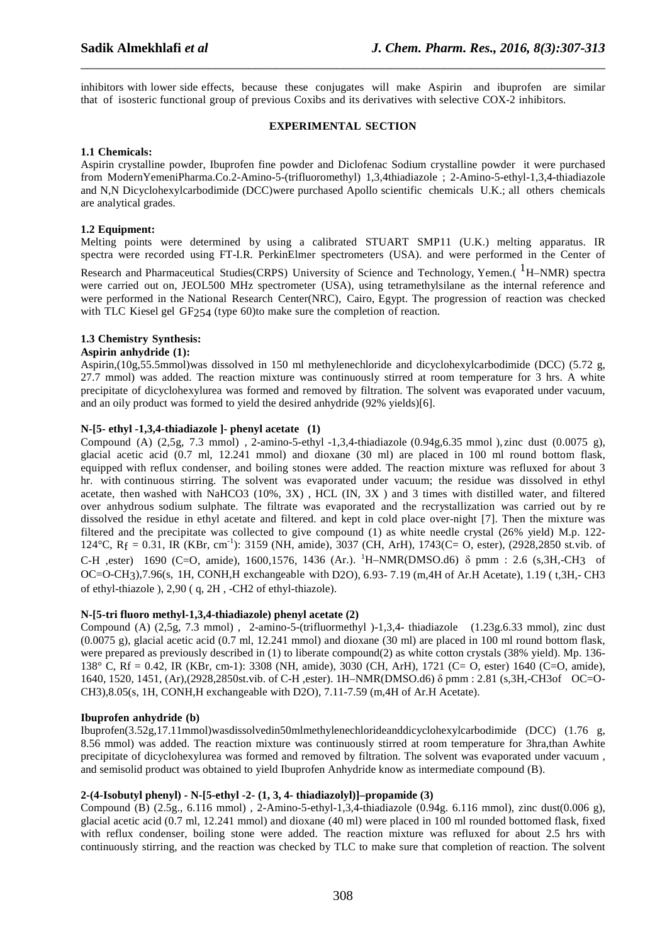inhibitors with lower side effects, because these conjugates will make Aspirin and ibuprofen are similar that of isosteric functional group of previous Coxibs and its derivatives with selective COX-2 inhibitors.

\_\_\_\_\_\_\_\_\_\_\_\_\_\_\_\_\_\_\_\_\_\_\_\_\_\_\_\_\_\_\_\_\_\_\_\_\_\_\_\_\_\_\_\_\_\_\_\_\_\_\_\_\_\_\_\_\_\_\_\_\_\_\_\_\_\_\_\_\_\_\_\_\_\_\_\_\_\_

#### **EXPERIMENTAL SECTION**

#### **1.1 Chemicals:**

Aspirin crystalline powder, Ibuprofen fine powder and Diclofenac Sodium crystalline powder it were purchased from ModernYemeniPharma.Co.2-Amino-5-(trifluoromethyl) 1,3,4thiadiazole ; 2-Amino-5-ethyl-1,3,4-thiadiazole and N,N Dicyclohexylcarbodimide (DCC)were purchased Apollo scientific chemicals U.K.; all others chemicals are analytical grades.

#### **1.2 Equipment:**

Melting points were determined by using a calibrated STUART SMP11 (U.K.) melting apparatus. IR spectra were recorded using FT-I.R. PerkinElmer spectrometers (USA). and were performed in the Center of

Research and Pharmaceutical Studies(CRPS) University of Science and Technology, Yemen.( <sup>1</sup>H–NMR) spectra were carried out on, JEOL500 MHz spectrometer (USA), using tetramethylsilane as the internal reference and were performed in the National Research Center(NRC), Cairo, Egypt. The progression of reaction was checked with TLC Kiesel gel GF254 (type 60)to make sure the completion of reaction.

### **1.3 Chemistry Synthesis:**

#### **Aspirin anhydride (1):**

Aspirin,(10g,55.5mmol)was dissolved in 150 ml methylenechloride and dicyclohexylcarbodimide (DCC) (5.72 g, 27.7 mmol) was added. The reaction mixture was continuously stirred at room temperature for 3 hrs. A white precipitate of dicyclohexylurea was formed and removed by filtration. The solvent was evaporated under vacuum, and an oily product was formed to yield the desired anhydride (92% yields)[6].

#### **N-[5- ethyl -1,3,4-thiadiazole ]- phenyl acetate (1)**

Compound (A) (2,5g, 7.3 mmol) , 2-amino-5-ethyl -1,3,4-thiadiazole (0.94g,6.35 mmol ), zinc dust (0.0075 g), glacial acetic acid (0.7 ml, 12.241 mmol) and dioxane (30 ml) are placed in 100 ml round bottom flask, equipped with reflux condenser, and boiling stones were added. The reaction mixture was refluxed for about 3 hr. with continuous stirring. The solvent was evaporated under vacuum; the residue was dissolved in ethyl acetate, then washed with NaHCO3 (10%, 3X) , HCL (IN, 3X ) and 3 times with distilled water, and filtered over anhydrous sodium sulphate. The filtrate was evaporated and the recrystallization was carried out by re dissolved the residue in ethyl acetate and filtered. and kept in cold place over-night [7]. Then the mixture was filtered and the precipitate was collected to give compound (1) as white needle crystal (26% yield) M.p. 122- 124°C, Rf = 0.31, IR (KBr, cm<sup>-1</sup>): 3159 (NH, amide), 3037 (CH, ArH), 1743(C= O, ester), (2928,2850 st.vib. of C-H ,ester) 1690 (C=O, amide), 1600,1576, 1436 (Ar.).  $^1$ H–NMR(DMSO.d6)  $\delta$  pmm : 2.6 (s,3H,-CH3 of OC=O-CH3),7.96(s, 1H, CONH,H exchangeable with D2O), 6.93- 7.19 (m,4H of Ar.H Acetate), 1.19 ( t,3H,- CH3 of ethyl-thiazole ), 2,90 ( q, 2H , -CH2 of ethyl-thiazole).

### **N-[5-tri fluoro methyl-1,3,4-thiadiazole) phenyl acetate (2)**

Compound (A) (2,5g, 7.3 mmol) , 2-amino-5-(trifluormethyl )-1,3,4- thiadiazole (1.23g.6.33 mmol), zinc dust (0.0075 g), glacial acetic acid (0.7 ml, 12.241 mmol) and dioxane (30 ml) are placed in 100 ml round bottom flask, were prepared as previously described in (1) to liberate compound(2) as white cotton crystals (38% yield). Mp. 136- 138° C, Rf = 0.42, IR (KBr, cm-1): 3308 (NH, amide), 3030 (CH, ArH), 1721 (C= O, ester) 1640 (C=O, amide), 1640, 1520, 1451, (Ar),(2928,2850st.vib. of C-H ,ester). 1H–NMR(DMSO.d6) δ pmm : 2.81 (s,3H ,-CH3of OC=O-CH3),8.05(s, 1H, CONH,H exchangeable with D2O), 7.11-7.59 (m,4H of Ar.H Acetate).

#### **Ibuprofen anhydride (b)**

Ibuprofen(3.52g,17.11mmol)wasdissolvedin50mlmethylenechlorideanddicyclohexylcarbodimide (DCC) (1.76 g, 8.56 mmol) was added. The reaction mixture was continuously stirred at room temperature for 3hra,than Awhite precipitate of dicyclohexylurea was formed and removed by filtration. The solvent was evaporated under vacuum , and semisolid product was obtained to yield Ibuprofen Anhydride know as intermediate compound (B).

### **2-(4-Isobutyl phenyl) - N-[5-ethyl -2- (1, 3, 4- thiadiazolyl)]–propamide (3)**

Compound (B) (2.5g., 6.116 mmol) , 2-Amino-5-ethyl-1,3,4-thiadiazole (0.94g. 6.116 mmol), zinc dust(0.006 g), glacial acetic acid (0.7 ml, 12.241 mmol) and dioxane (40 ml) were placed in 100 ml rounded bottomed flask, fixed with reflux condenser, boiling stone were added. The reaction mixture was refluxed for about 2.5 hrs with continuously stirring, and the reaction was checked by TLC to make sure that completion of reaction. The solvent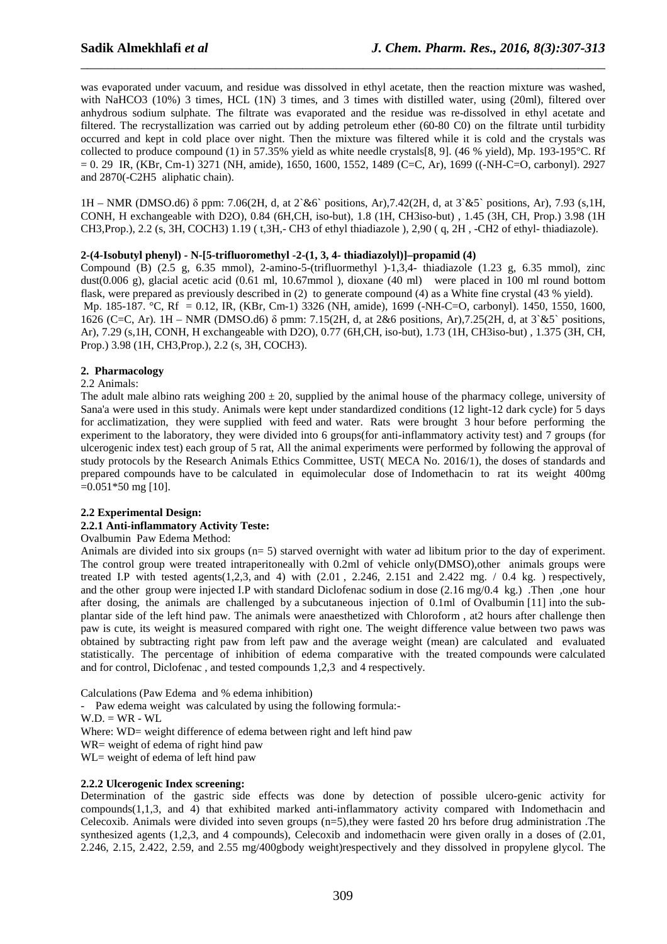was evaporated under vacuum, and residue was dissolved in ethyl acetate, then the reaction mixture was washed, with NaHCO3 (10%) 3 times, HCL (1N) 3 times, and 3 times with distilled water, using (20ml), filtered over anhydrous sodium sulphate. The filtrate was evaporated and the residue was re-dissolved in ethyl acetate and filtered. The recrystallization was carried out by adding petroleum ether (60-80 C0) on the filtrate until turbidity occurred and kept in cold place over night. Then the mixture was filtered while it is cold and the crystals was collected to produce compound (1) in 57.35% yield as white needle crystals[8, 9]. (46 % yield), Mp. 193-195°C. Rf = 0. 29 IR, (KBr, Cm-1) 3271 (NH, amide), 1650, 1600, 1552, 1489 (C=C, Ar), 1699 ((-NH-C=O, carbonyl). 2927 and 2870(-C2H5 aliphatic chain).

\_\_\_\_\_\_\_\_\_\_\_\_\_\_\_\_\_\_\_\_\_\_\_\_\_\_\_\_\_\_\_\_\_\_\_\_\_\_\_\_\_\_\_\_\_\_\_\_\_\_\_\_\_\_\_\_\_\_\_\_\_\_\_\_\_\_\_\_\_\_\_\_\_\_\_\_\_\_

1H – NMR (DMSO.d6) δ ppm: 7.06(2H, d, at 2`&6` positions, Ar),7.42(2H, d, at 3`&5` positions, Ar), 7.93 (s,1H, CONH, H exchangeable with D2O), 0.84 (6H,CH, iso-but), 1.8 (1H, CH3iso-but) , 1.45 (3H, CH, Prop.) 3.98 (1H CH3,Prop.), 2.2 (s, 3H, COCH3) 1.19 ( t,3H,- CH3 of ethyl thiadiazole ), 2,90 ( q, 2H , -CH2 of ethyl- thiadiazole).

## **2-(4-Isobutyl phenyl) - N-[5-trifluoromethyl -2-(1, 3, 4- thiadiazolyl)]–propamid (4)**

Compound (B)  $(2.5 \text{ g}, 6.35 \text{ mmol})$ , 2-amino-5-(trifluormethyl )-1,3,4- thiadiazole  $(1.23 \text{ g}, 6.35 \text{ mmol})$ , zinc dust(0.006 g), glacial acetic acid (0.61 ml, 10.67mmol ), dioxane (40 ml) were placed in 100 ml round bottom flask, were prepared as previously described in (2) to generate compound (4) as a White fine crystal (43 % yield). Mp. 185-187. °C, Rf = 0.12, IR, (KBr, Cm-1) 3326 (NH, amide), 1699 (-NH-C=O, carbonyl). 1450, 1550, 1600, 1626 (C=C, Ar). 1H – NMR (DMSO.d6) δ pmm: 7.15(2H, d, at 2&6 positions, Ar),7.25(2H, d, at 3`&5` positions, Ar), 7.29 (s,1H, CONH, H exchangeable with D2O), 0.77 (6H,CH, iso-but), 1.73 (1H, CH3iso-but) , 1.375 (3H, CH, Prop.) 3.98 (1H, CH3,Prop.), 2.2 (s, 3H, COCH3).

### **2. Pharmacology**

### 2.2 Animals:

The adult male albino rats weighing  $200 \pm 20$ , supplied by the animal house of the pharmacy college, university of Sana'a were used in this study. Animals were kept under standardized conditions (12 light-12 dark cycle) for 5 days for acclimatization, they were supplied with feed and water. Rats were brought 3 hour before performing the experiment to the laboratory, they were divided into 6 groups(for anti-inflammatory activity test) and 7 groups (for ulcerogenic index test) each group of 5 rat, All the animal experiments were performed by following the approval of study protocols by the Research Animals Ethics Committee, UST( MECA No. 2016/1), the doses of standards and prepared compounds have to be calculated in equimolecular dose of Indomethacin to rat its weight 400mg  $=0.051*50$  mg [10].

# **2.2 Experimental Design:**

### **2.2.1 Anti-inflammatory Activity Teste:**

### Ovalbumin Paw Edema Method:

Animals are divided into six groups (n= 5) starved overnight with water ad libitum prior to the day of experiment. The control group were treated intraperitoneally with 0.2ml of vehicle only(DMSO),other animals groups were treated I.P with tested agents $(1,2,3,$  and 4) with  $(2.01, 2.246, 2.151,$  and  $2.422$  mg.  $/0.4$  kg. ) respectively, and the other group were injected I.P with standard Diclofenac sodium in dose (2.16 mg/0.4 kg.) .Then ,one hour after dosing, the animals are challenged by a subcutaneous injection of 0.1ml of Ovalbumin [11] into the subplantar side of the left hind paw. The animals were anaesthetized with Chloroform , at2 hours after challenge then paw is cute, its weight is measured compared with right one. The weight difference value between two paws was obtained by subtracting right paw from left paw and the average weight (mean) are calculated and evaluated statistically. The percentage of inhibition of edema comparative with the treated compounds were calculated and for control, Diclofenac , and tested compounds 1,2,3 and 4 respectively.

Calculations (Paw Edema and % edema inhibition)

- Paw edema weight was calculated by using the following formula:-  $W.D. = WR - WL$ Where: WD= weight difference of edema between right and left hind paw WR= weight of edema of right hind paw WL= weight of edema of left hind paw

### **2.2.2 Ulcerogenic Index screening:**

Determination of the gastric side effects was done by detection of possible ulcero-genic activity for compounds(1,1,3, and 4) that exhibited marked anti-inflammatory activity compared with Indomethacin and Celecoxib. Animals were divided into seven groups (n=5),they were fasted 20 hrs before drug administration .The synthesized agents (1,2,3, and 4 compounds), Celecoxib and indomethacin were given orally in a doses of (2.01, 2.246, 2.15, 2.422, 2.59, and 2.55 mg/400gbody weight)respectively and they dissolved in propylene glycol. The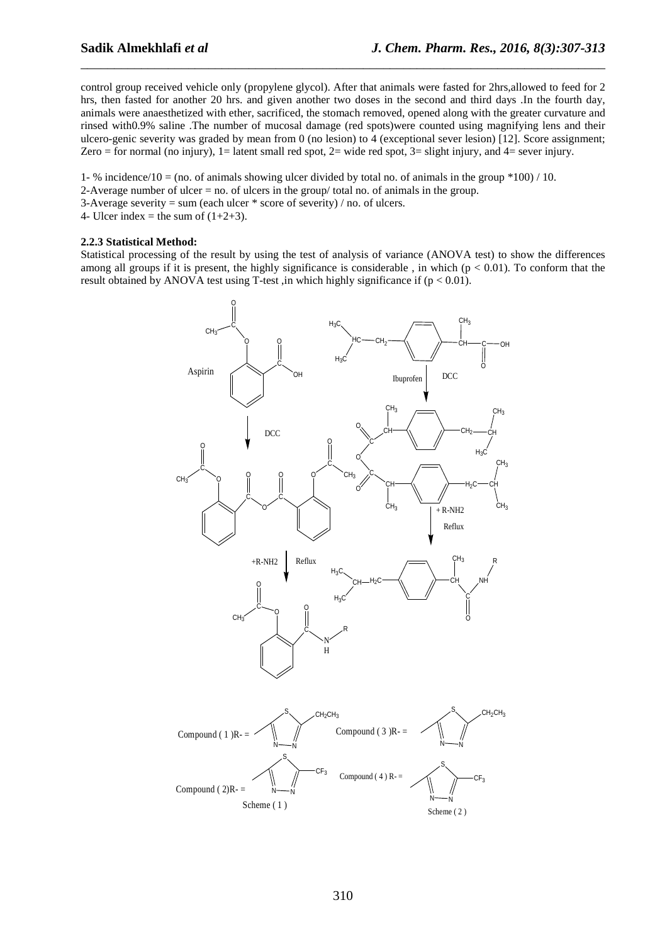control group received vehicle only (propylene glycol). After that animals were fasted for 2hrs,allowed to feed for 2 hrs, then fasted for another 20 hrs. and given another two doses in the second and third days .In the fourth day, animals were anaesthetized with ether, sacrificed, the stomach removed, opened along with the greater curvature and rinsed with0.9% saline .The number of mucosal damage (red spots)were counted using magnifying lens and their ulcero-genic severity was graded by mean from 0 (no lesion) to 4 (exceptional sever lesion) [12]. Score assignment; Zero = for normal (no injury), 1 = latent small red spot, 2 = wide red spot, 3 = slight injury, and 4 = sever injury.

\_\_\_\_\_\_\_\_\_\_\_\_\_\_\_\_\_\_\_\_\_\_\_\_\_\_\_\_\_\_\_\_\_\_\_\_\_\_\_\_\_\_\_\_\_\_\_\_\_\_\_\_\_\_\_\_\_\_\_\_\_\_\_\_\_\_\_\_\_\_\_\_\_\_\_\_\_\_

- 1- % incidence/10 = (no. of animals showing ulcer divided by total no. of animals in the group  $*100$ ) / 10.
- 2-Average number of ulcer = no. of ulcers in the group/ total no. of animals in the group.
- 3-Average severity = sum (each ulcer  $*$  score of severity) / no. of ulcers.
- 4- Ulcer index = the sum of  $(1+2+3)$ .

#### **2.2.3 Statistical Method:**

Statistical processing of the result by using the test of analysis of variance (ANOVA test) to show the differences among all groups if it is present, the highly significance is considerable, in which ( $p < 0.01$ ). To conform that the result obtained by ANOVA test using T-test ,in which highly significance if  $(p < 0.01)$ .

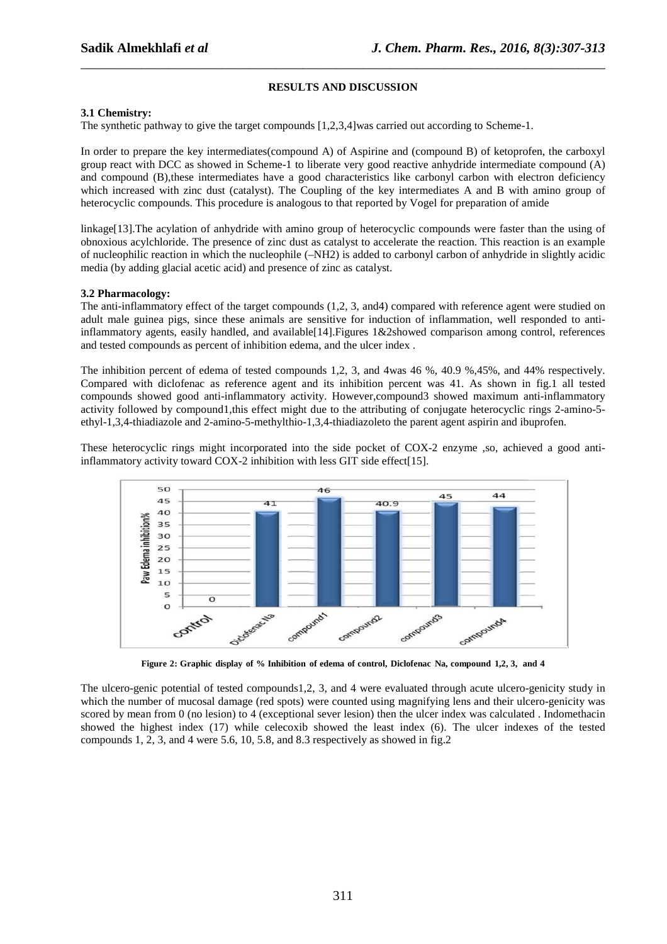# **RESULTS AND DISCUSSION**

\_\_\_\_\_\_\_\_\_\_\_\_\_\_\_\_\_\_\_\_\_\_\_\_\_\_\_\_\_\_\_\_\_\_\_\_\_\_\_\_\_\_\_\_\_\_\_\_\_\_\_\_\_\_\_\_\_\_\_\_\_\_\_\_\_\_\_\_\_\_\_\_\_\_\_\_\_\_

### **3.1 Chemistry:**

The synthetic pathway to give the target compounds [1,2,3,4]was carried out according to Scheme-1.

In order to prepare the key intermediates(compound A) of Aspirine and (compound B) of ketoprofen, the carboxyl group react with DCC as showed in Scheme-1 to liberate very good reactive anhydride intermediate compound (A) and compound (B),these intermediates have a good characteristics like carbonyl carbon with electron deficiency which increased with zinc dust (catalyst). The Coupling of the key intermediates A and B with amino group of heterocyclic compounds. This procedure is analogous to that reported by Vogel for preparation of amide

linkage[13].The acylation of anhydride with amino group of heterocyclic compounds were faster than the using of obnoxious acylchloride. The presence of zinc dust as catalyst to accelerate the reaction. This reaction is an example of nucleophilic reaction in which the nucleophile (–NH2) is added to carbonyl carbon of anhydride in slightly acidic media (by adding glacial acetic acid) and presence of zinc as catalyst.

### **3.2 Pharmacology:**

The anti-inflammatory effect of the target compounds (1,2, 3, and4) compared with reference agent were studied on adult male guinea pigs, since these animals are sensitive for induction of inflammation, well responded to antiinflammatory agents, easily handled, and available[14]. Figures 1&2showed comparison among control, references and tested compounds as percent of inhibition edema, and the ulcer index .

The inhibition percent of edema of tested compounds 1,2, 3, and 4was 46 %, 40.9 %,45%, and 44% respectively. Compared with diclofenac as reference agent and its inhibition percent was 41. As shown in fig.1 all tested compounds showed good anti-inflammatory activity. However,compound3 showed maximum anti-inflammatory activity followed by compound1,this effect might due to the attributing of conjugate heterocyclic rings 2-amino-5 ethyl-1,3,4-thiadiazole and 2-amino-5-methylthio-1,3,4-thiadiazoleto the parent agent aspirin and ibuprofen.

These heterocyclic rings might incorporated into the side pocket of COX-2 enzyme ,so, achieved a good antiinflammatory activity toward COX-2 inhibition with less GIT side effect<sup>[15]</sup>.



**Figure 2: Graphic display of % Inhibition of edema of control, Diclofenac Na, compound 1,2, 3, and 4** 

The ulcero-genic potential of tested compounds1,2, 3, and 4 were evaluated through acute ulcero-genicity study in which the number of mucosal damage (red spots) were counted using magnifying lens and their ulcero-genicity was scored by mean from 0 (no lesion) to 4 (exceptional sever lesion) then the ulcer index was calculated . Indomethacin showed the highest index (17) while celecoxib showed the least index (6). The ulcer indexes of the tested compounds 1, 2, 3, and 4 were 5.6, 10, 5.8, and 8.3 respectively as showed in fig.2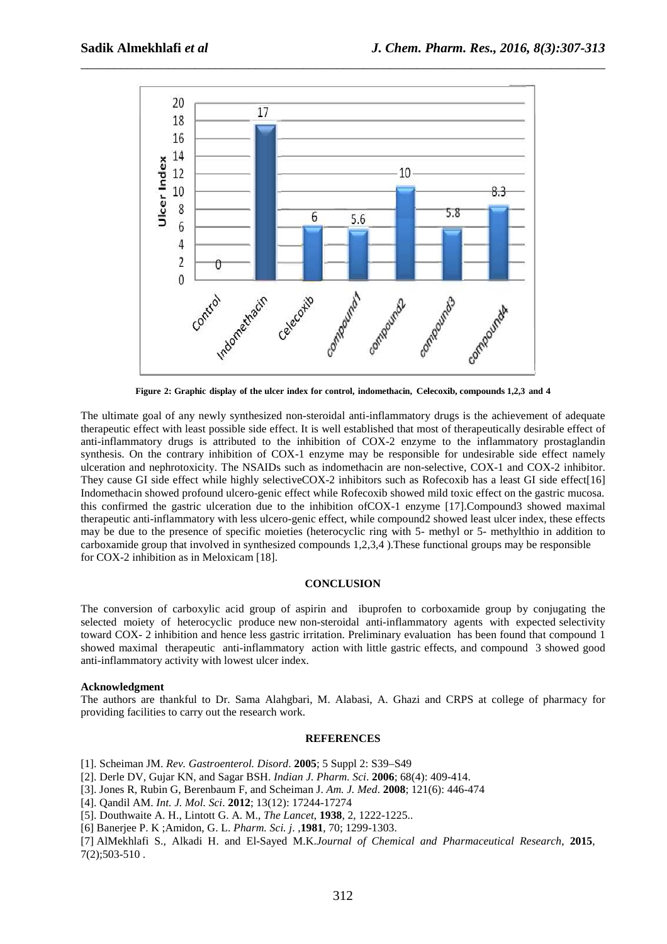

\_\_\_\_\_\_\_\_\_\_\_\_\_\_\_\_\_\_\_\_\_\_\_\_\_\_\_\_\_\_\_\_\_\_\_\_\_\_\_\_\_\_\_\_\_\_\_\_\_\_\_\_\_\_\_\_\_\_\_\_\_\_\_\_\_\_\_\_\_\_\_\_\_\_\_\_\_\_

**Figure 2: Graphic display of the ulcer index for control, indomethacin, Celecoxib, compounds 1,2,3 and 4**

The ultimate goal of any newly synthesized non-steroidal anti-inflammatory drugs is the achievement of adequate therapeutic effect with least possible side effect. It is well established that most of therapeutically desirable effect of anti-inflammatory drugs is attributed to the inhibition of COX-2 enzyme to the inflammatory prostaglandin synthesis. On the contrary inhibition of COX-1 enzyme may be responsible for undesirable side effect namely ulceration and nephrotoxicity. The NSAIDs such as indomethacin are non-selective, COX-1 and COX-2 inhibitor. They cause GI side effect while highly selectiveCOX-2 inhibitors such as Rofecoxib has a least GI side effect[16] Indomethacin showed profound ulcero-genic effect while Rofecoxib showed mild toxic effect on the gastric mucosa. this confirmed the gastric ulceration due to the inhibition ofCOX-1 enzyme [17].Compound3 showed maximal therapeutic anti-inflammatory with less ulcero-genic effect, while compound2 showed least ulcer index, these effects may be due to the presence of specific moieties (heterocyclic ring with 5- methyl or 5- methylthio in addition to carboxamide group that involved in synthesized compounds 1,2,3,4 ).These functional groups may be responsible for COX-2 inhibition as in Meloxicam [18].

### **CONCLUSION**

The conversion of carboxylic acid group of aspirin and ibuprofen to corboxamide group by conjugating the selected moiety of heterocyclic produce new non-steroidal anti-inflammatory agents with expected selectivity toward COX- 2 inhibition and hence less gastric irritation. Preliminary evaluation has been found that compound 1 showed maximal therapeutic anti-inflammatory action with little gastric effects, and compound 3 showed good anti-inflammatory activity with lowest ulcer index.

#### **Acknowledgment**

The authors are thankful to Dr. Sama Alahgbari, M. Alabasi, A. Ghazi and CRPS at college of pharmacy for providing facilities to carry out the research work.

#### **REFERENCES**

- [1]. Scheiman JM. *Rev. Gastroenterol. Disord*. **2005**; 5 Suppl 2: S39–S49
- [2]. Derle DV, Gujar KN, and Sagar BSH. *Indian J. Pharm. Sci*. **2006**; 68(4): 409-414.
- [3]. Jones R, Rubin G, Berenbaum F, and Scheiman J. *Am. J. Med*. **2008**; 121(6): 446-474
- [4]. Qandil AM. *Int. J. Mol. Sci*. **2012**; 13(12): 17244-17274
- [5]. Douthwaite A. H., Lintott G. A. M., *The Lancet*, **1938**, 2, 1222-1225..
- [6] Banerjee P. K ;Amidon, G. L. *Pharm. Sci. j*. ,**1981**, 70; 1299-1303.

[7] AlMekhlafi S., Alkadi H. and El-Sayed M.K.*Journal of Chemical and Pharmaceutical Research*, **2015**,  $7(2):503-510$ .